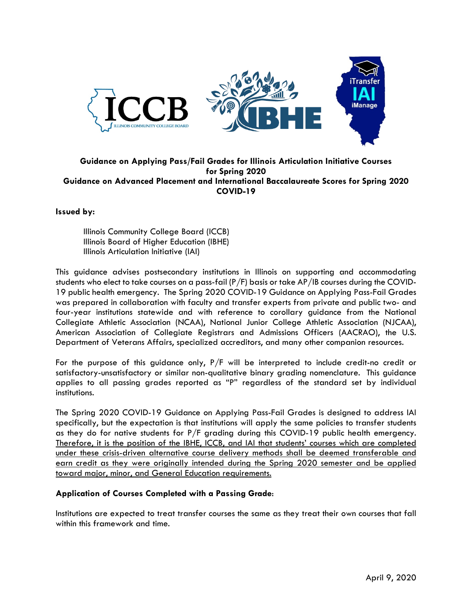

## **Guidance on Applying Pass/Fail Grades for Illinois Articulation Initiative Courses for Spring 2020 Guidance on Advanced Placement and International Baccalaureate Scores for Spring 2020 COVID-19**

## **Issued by:**

Illinois Community College Board (ICCB) Illinois Board of Higher Education (IBHE) Illinois Articulation Initiative (IAI)

This guidance advises postsecondary institutions in Illinois on supporting and accommodating students who elect to take courses on a pass-fail (P/F) basis or take AP/IB courses during the COVID-19 public health emergency. The Spring 2020 COVID-19 Guidance on Applying Pass-Fail Grades was prepared in collaboration with faculty and transfer experts from private and public two- and four-year institutions statewide and with reference to corollary guidance from the National Collegiate Athletic Association (NCAA), National Junior College Athletic Association (NJCAA), American Association of Collegiate Registrars and Admissions Officers (AACRAO), the U.S. Department of Veterans Affairs, specialized accreditors, and many other companion resources.

For the purpose of this guidance only, P/F will be interpreted to include credit-no credit or satisfactory-unsatisfactory or similar non-qualitative binary grading nomenclature. This guidance applies to all passing grades reported as "P" regardless of the standard set by individual institutions.

The Spring 2020 COVID-19 Guidance on Applying Pass-Fail Grades is designed to address IAI specifically, but the expectation is that institutions will apply the same policies to transfer students as they do for native students for P/F grading during this COVID-19 public health emergency. Therefore, it is the position of the IBHE, ICCB, and IAI that students' courses which are completed under these crisis-driven alternative course delivery methods shall be deemed transferable and earn credit as they were originally intended during the Spring 2020 semester and be applied toward major, minor, and General Education requirements.

## **Application of Courses Completed with a Passing Grade**:

Institutions are expected to treat transfer courses the same as they treat their own courses that fall within this framework and time.